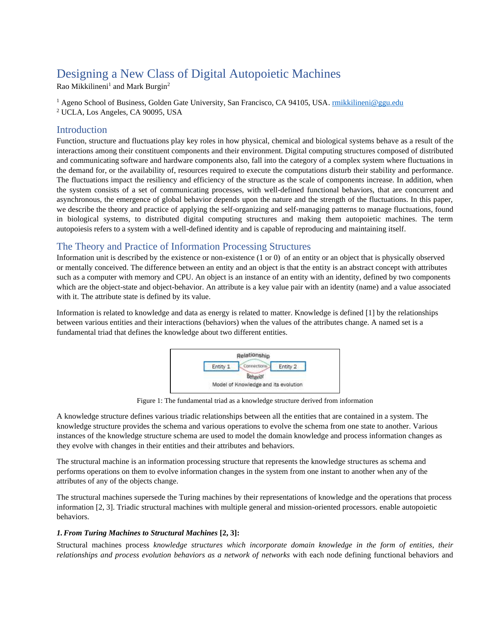# Designing a New Class of Digital Autopoietic Machines

Rao Mikkilineni<sup>1</sup> and Mark Burgin<sup>2</sup>

<sup>1</sup> Ageno School of Business, Golden Gate University, San Francisco, CA 94105, USA. *rmikkilineni@ggu.edu* 

<sup>2</sup> UCLA, Los Angeles, CA 90095, USA

## Introduction

Function, structure and fluctuations play key roles in how physical, chemical and biological systems behave as a result of the interactions among their constituent components and their environment. Digital computing structures composed of distributed and communicating software and hardware components also, fall into the category of a complex system where fluctuations in the demand for, or the availability of, resources required to execute the computations disturb their stability and performance. The fluctuations impact the resiliency and efficiency of the structure as the scale of components increase. In addition, when the system consists of a set of communicating processes, with well-defined functional behaviors, that are concurrent and asynchronous, the emergence of global behavior depends upon the nature and the strength of the fluctuations. In this paper, we describe the theory and practice of applying the self-organizing and self-managing patterns to manage fluctuations, found in biological systems, to distributed digital computing structures and making them autopoietic machines. The term autopoiesis refers to a system with a well-defined identity and is capable of reproducing and maintaining itself.

# The Theory and Practice of Information Processing Structures

Information unit is described by the existence or non-existence (1 or 0) of an entity or an object that is physically observed or mentally conceived. The difference between an entity and an object is that the entity is an abstract concept with attributes such as a computer with memory and CPU. An object is an instance of an entity with an identity, defined by two components which are the object-state and object-behavior. An attribute is a key value pair with an identity (name) and a value associated with it. The attribute state is defined by its value.

Information is related to knowledge and data as energy is related to matter. Knowledge is defined [1] by the relationships between various entities and their interactions (behaviors) when the values of the attributes change. A named set is a fundamental triad that defines the knowledge about two different entities.



Figure 1: The fundamental triad as a knowledge structure derived from information

A knowledge structure defines various triadic relationships between all the entities that are contained in a system. The knowledge structure provides the schema and various operations to evolve the schema from one state to another. Various instances of the knowledge structure schema are used to model the domain knowledge and process information changes as they evolve with changes in their entities and their attributes and behaviors.

The structural machine is an information processing structure that represents the knowledge structures as schema and performs operations on them to evolve information changes in the system from one instant to another when any of the attributes of any of the objects change.

The structural machines supersede the Turing machines by their representations of knowledge and the operations that process information [2, 3]. Triadic structural machines with multiple general and mission-oriented processors. enable autopoietic behaviors.

## *1.From Turing Machines to Structural Machines* **[2, 3]:**

Structural machines process *knowledge structures which incorporate domain knowledge in the form of entities, their relationships and process evolution behaviors as a network of networks* with each node defining functional behaviors and